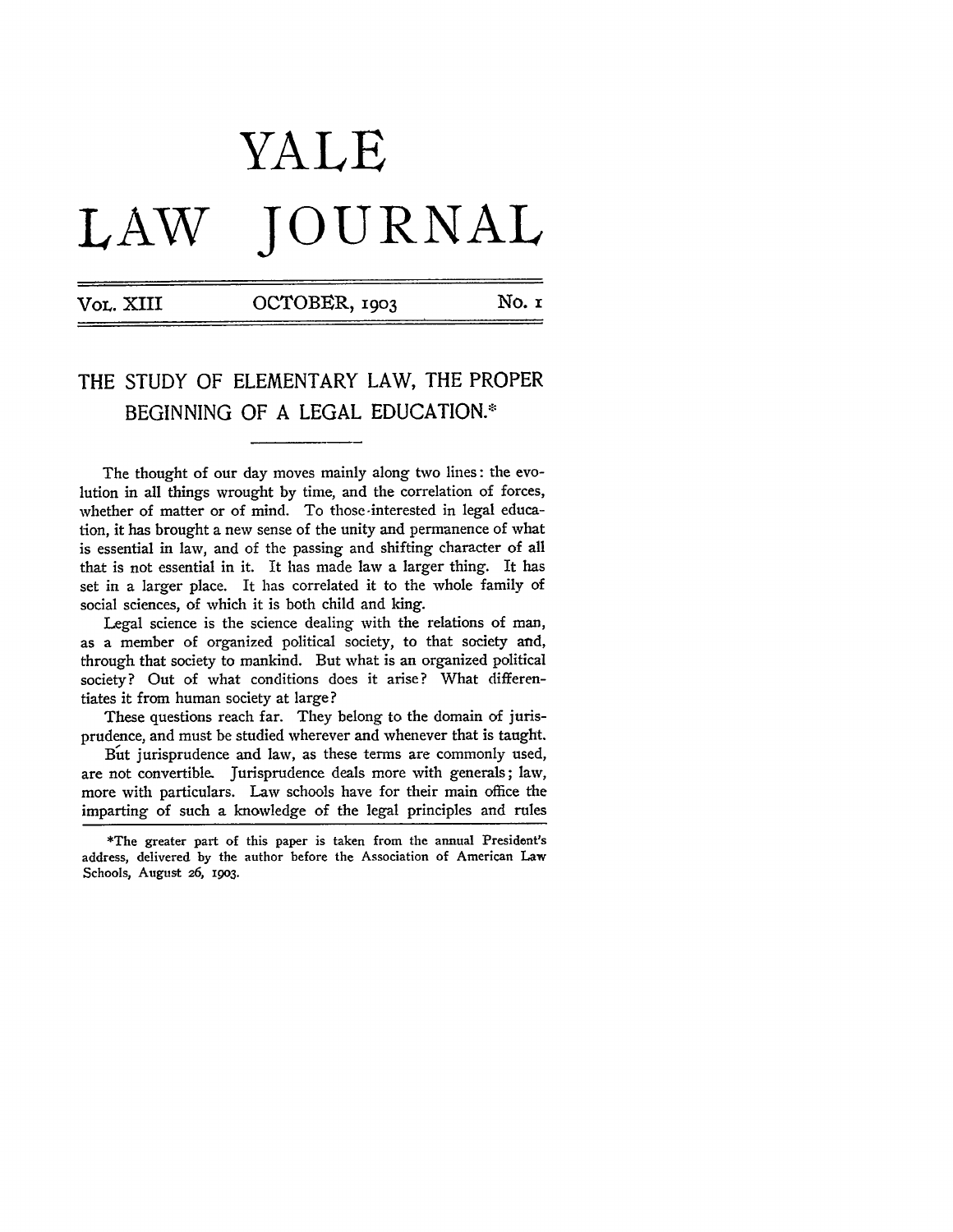## **YALE** LAW **JOURNAL**

| Vor. XIII | OCTOBER, 1903 | No. 1 |
|-----------|---------------|-------|
|-----------|---------------|-------|

## THE **STUDY** OF ELEMENTARY LAW, THE PROPER **BEGINNING** OF **A LEGAL EDUCATION.\***

The thought of our day moves mainly along two lines: the evolution in all things wrought by time, and the correlation of forces, whether of matter or of mind. To those interested in legal education, it has brought a new sense of the unity and permanence of what is essential in law, and of the passing and shifting character of all that is not essential in it. It has made law a larger thing. It has set in a larger place. It has correlated it to the whole family of social sciences, of which it is both child and king.

Legal science is the science dealing with the relations of man, as a member of organized political society, to that society and, through that society to mankind. But what is an organized political society? Out of what conditions does it arise? What differentiates it from human society at large?

These questions reach far. They belong to the domain of jurisprudence, and must be studied wherever and whenever that is taught.

But jurisprudence and law, as these terms are commonly used, are not convertible. Jurisprudence deals more with generals; law, more with particulars. Law schools have for their main office the imparting of such a knowledge of the legal principles and rules

<sup>\*</sup>The greater part of this paper is taken from the annual President's address, delivered by the author before the Association of American Law Schools, August **26,** i9o3.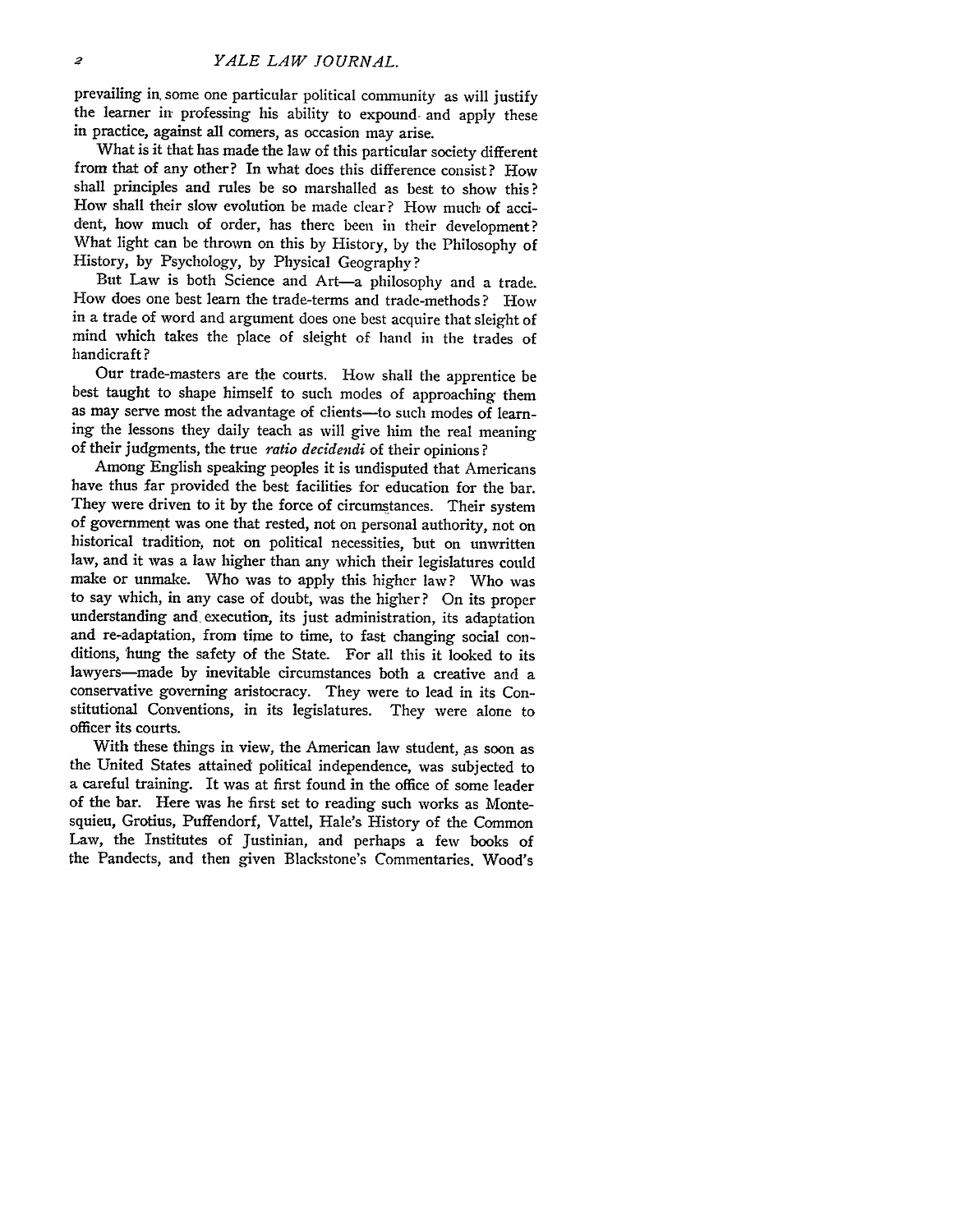prevailing in, some one particular political community as will justify the learner in: professing his ability to expound. and apply these in practice, against all comers, as occasion may arise.

What is it that has made the law of this particular society different from that of any other? In what does this difference consist? How shall principles and rules be so marshalled as best to show this? How shall their slow evolution be made clear? How much, of accident, how much of order, has there been in their development? What light can be thrown on this by History, by the Philosophy of History, by Psychology, by Physical Geography?

But Law is both Science and Art-a philosophy and a trade. How does one best learn the trade-terms and trade-methods? How in a trade of word and argument does one best acquire that sleight of mind which takes the place of sleight of hand in the trades of handicraft?

Our trade-masters are the courts. How shall the apprentice be best taught to shape himself to such modes of approaching them as may serve most the advantage of clients-to such modes of learning the lessons they daily teach as will give him the real meaning of their judgments, the true *ratio decidendi* of their opinions?

Among English speaking peoples it is undisputed that Americans have thus far provided the best facilities for education for the bar. They were driven to it by the force of circumstances. Their system of government was one that rested, not on personal authority, not on historical tradition, not on political necessities, but on unwritten law, and it was a law higher than any which their legislatures could make or unmake. Who was to apply this higher law? Who was to say which, in any case of doubt, was the higher? On its proper understanding and execution, its just administration, its adaptation and re-adaptation, from time to time, to fast changing social conditions, hung the safety of the State. For all this it looked to its lawyers-made by inevitable circumstances both a creative and a conservative governing aristocracy. They were to lead in its Constitutional Conventions, in its legislatures. They were alone to officer its courts.

With these things in view, the American law student, as soon as the United States attained political independence, was subjected to a careful training. It was at first found in the office of some leader of the bar. Here was he first set to reading such works as Montesquieu, Grotius, Puffendorf, Vattel, Hale's History of the Common Law, the Institutes of Justinian, and perhaps a few books of the Pandects, and then given Blackstone's Commentaries. Wood's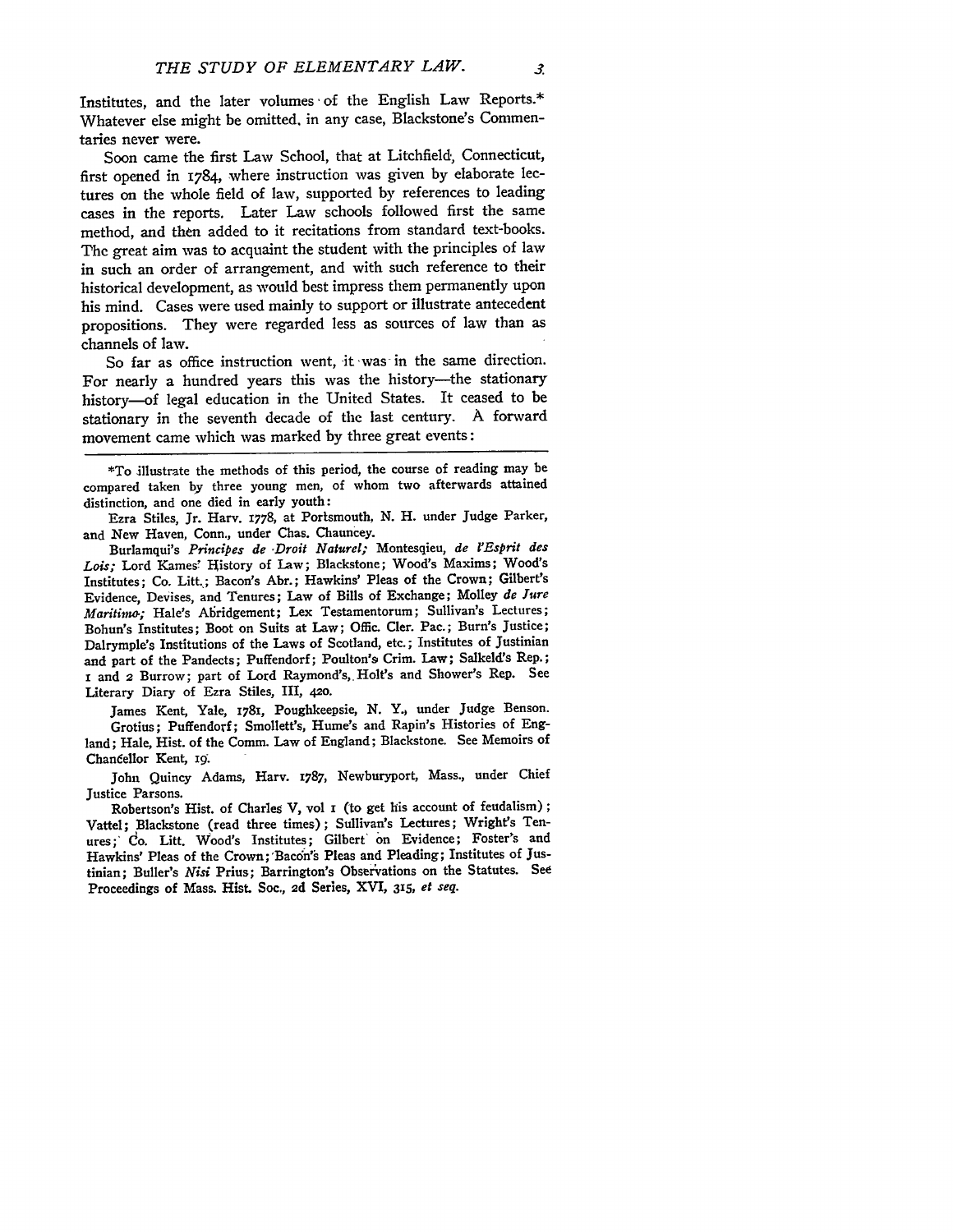Institutes, and the later volumes of the English Law Reports.\* Whatever else might be omitted, in any case, Blackstone's Commentaries never were.

Soon came the first Law School, that at Litchfield, Connecticut, first opened in **1784,** where instruction was given **by** elaborate lectures on the whole field of law, supported **by** references to leading cases in the reports. Later Law schools followed first the same method, and then added to it recitations from standard text-books. **The** great aim was to acquaint the student with the principles of law in such an order of arrangement, and with such reference to their historical development, as would best impress them permanently upon his mind. Cases were used mainly to support or illustrate antecedent propositions. They were regarded less as sources of law than as channels of **law.**

So far as office instruction went, it was in the same direction. For nearly a hundred years this was the history-the stationary history-of legal education in the United States. It ceased to be stationary in the seventh decade of the last century. **A** forvard movement came which was marked **by** three great events:

\*To illustrate the methods of this period, the course of reading may be compared taken by three young men, of whom two afterwards attained distinction, and one died in early youth:

Ezra Stiles, Jr. Harv. 1778, at Portsmouth, **N.** H. under Judge Parker, and New Haven, Conn., under Chas. Chauncey.

Burlamqui's *Principes de Droit Naturel;* Montesqieu, *de l'Esprit des Lois;* Lord Kames" History of Law; Blackstone; Wood's Maxims; Wood's Institutes; Co. Litt.; Bacon's Abr.; Hawkins' Pleas of the Crown; Gilbert's Evidence, Devises, and Tenures; Law of Bills of Exchange; Molley *de lure Maritirn.;* Hale's Abridgement; **Lex** Testamentorum; Sullivan's Lectures; Bohun's Institutes; Boot on Suits at Law; **Offic.** Cler. Pac.; Burn's Justice; Dalrymple's Institutions of the Laws of Scotland, etc.; Institutes of Justinian and part of the Pandects; Puffendorf; Poulton's Crim. Law; Salkeld's Rep.; i and **2** Burrow; part of Lord Raymond's, **Holt's** and Shower's Rep. See Literary Diary of Ezra Stiles, **III, 42o.**

James Kent, Yale, 178Y, Poughkeepsie, **N.** Y., under Judge Benson. Grotius; Puffendorf; Smollett's, Hume's and Rapin's Histories of England; Hale, Hist. of the Comm. Law of England; Blackstone. See Memoirs of Chandellor Kent, **ig.**

John Quincy Adams, Harv. **1787,** Newburyport, Mass., under Chief Justice Parsons.

Robertson's Hist. of Charles V, vol **i** (to get his account of feudalism) Vattel; Blackstone (read three times); Sullivan's Lectures; Wright's Tenures; Co. Litt. Wood's Institutes; Gilbert on Evidence; Foster's and Hawkins' Pleas of the Crown; Bacon's Pleas and Pleading; Institutes of Justinian; Buller's *Nisi* Prius; Barrington's Observations on the Statutes. See Proceedings of Mass. Hist. **Soc., 2d** Series, XVI, **315,** *et seq.*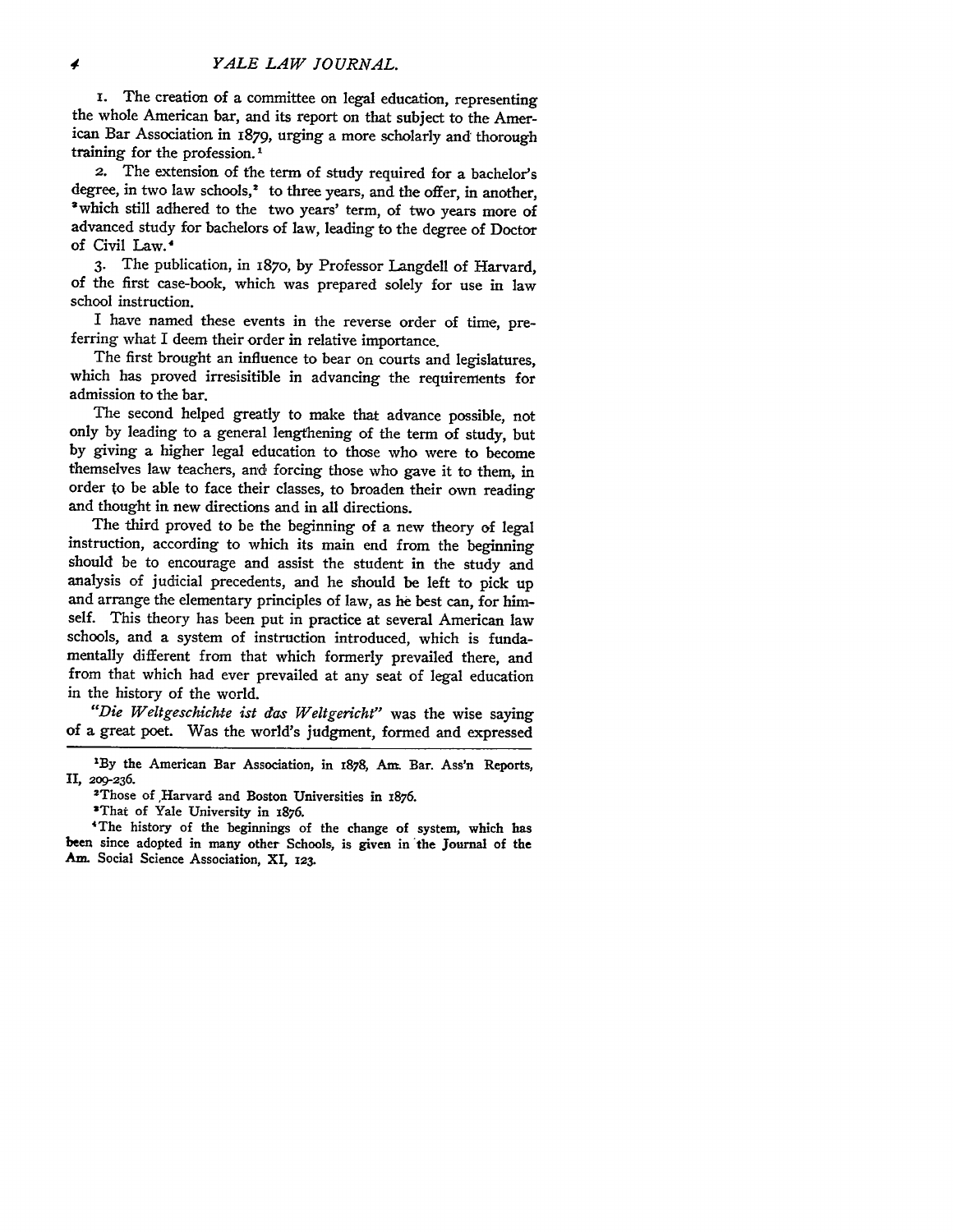**i.** The creation of a committee on legal education, representing the whole American bar, and its report on that subject to the American Bar Association in 1879, urging a more scholarly and thorough training for the profession.'

2. The extension of the term of study required for a bachelor's degree, in two law schools, $2$  to three years, and the offer, in another, 3which still adhered to the two years' term, of two years more of advanced study for bachelors of law, leading to the degree of Doctor of Civil Law.'

**3.** The publication, in 187o, by Professor Langdell of Harvard, of the first case-book, which was prepared solely for use in law school instruction.

I have named these events in the reverse order of time, preferring what I deem their order in relative importance.

The first brought an influence to bear on courts and legislatures, which has proved irresisitible in advancing the requirements for admission to the bar.

The second helped greatly to make that advance possible, not only by leading to a general lengthening of the term of study, but by giving a higher legal education to those who were to become themselves law teachers, and forcing those who gave it to them, in order to be able to face their classes, to broaden their own reading and thought in new directions and in all directions.

The third proved to be the beginning of a new theory of legal instruction, according to which its main end from the beginning should be to encourage and assist the student in the study and analysis of judicial precedents, and he should be left to pick up and arrange the elementary principles of law, as he best can, for himself. This theory has been put in practice at several American law schools, and a system of instruction introduced, which is fundamentally different from that which formerly prevailed there, and from that which had ever prevailed at any seat of legal education in the history of the world.

"Die Weltgeschichte ist das Weltgericht" was the wise saying of a great poet. Was the world's judgment, formed and expressed

\*That of Yale University in 1876.

4The history of the beginnings of the change of system, which has been since adopted in many other Schools, is given in the journal of the **Am.** Social Science Association, XI, **123.**

**<sup>&#</sup>x27;By** the American Bar Association, in 1878, Am. Bar. Ass'n Reports, *II,* 209-236.

<sup>2</sup> Those of Harvard and Boston Universities in x876.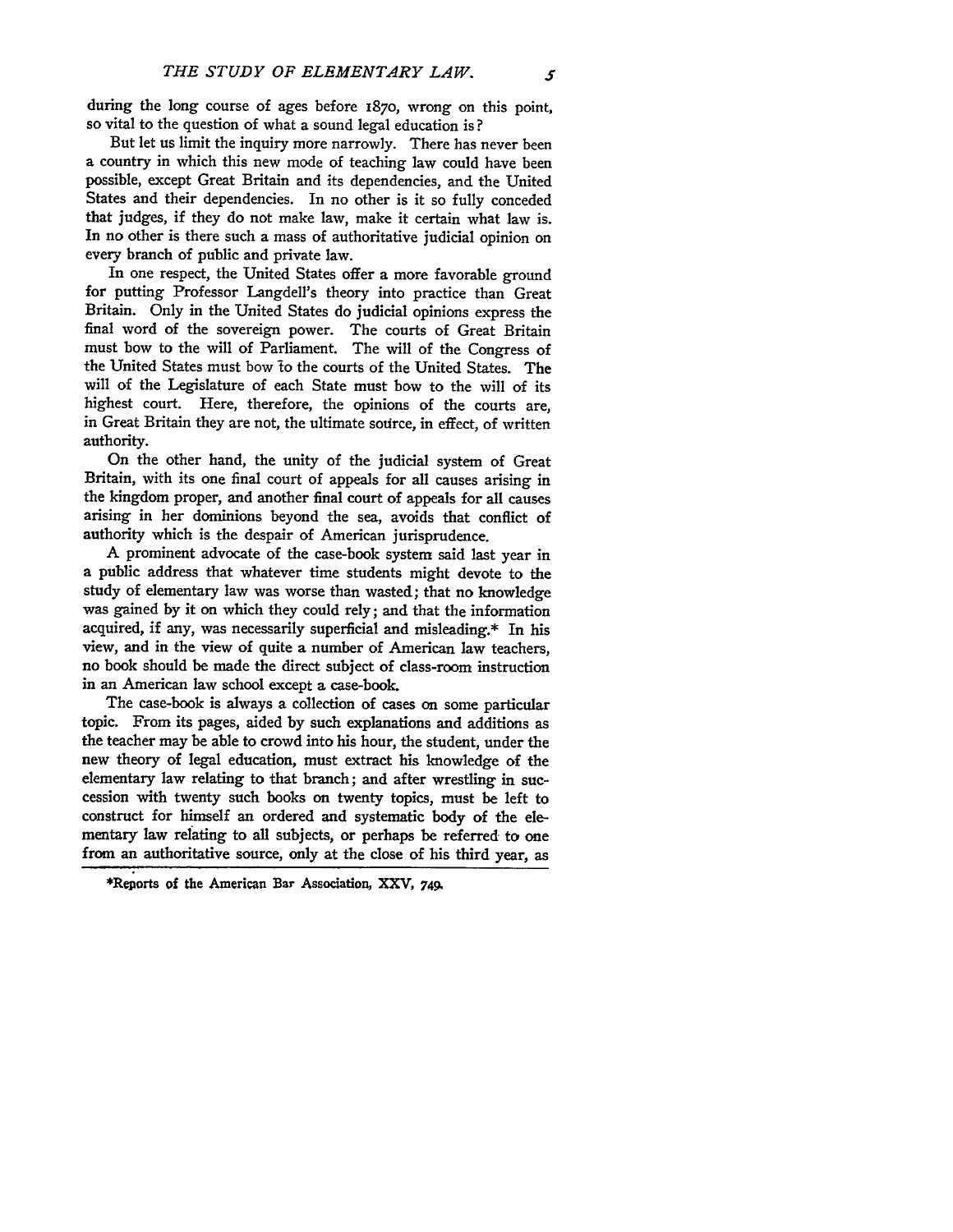during the long course of ages before **1870,** wrong on this point, so vital to the question of what a sound legal education **is?**

But let us limit the inquiry more narrowly. There has never been a country in which this new mode of teaching law could have been possible, except Great Britain and its dependencies, and the United States and their dependencies. In no other is it so fully conceded that judges, if they do not make law, make it certain what law is. In no other is there such a mass of authoritative judicial opinion on every branch of public and private law.

In one respect, the United States offer a more favorable ground for putting Professor Langdell's theory into practice than Great Britain. Only in the United States do judicial opinions express the final word of the sovereign power. The courts of Great Britain must bow to the will of Parliament. The will of the Congress of the United States must bow to the courts of the United States. The will of the Legislature of each State must bow to the will of its highest court. Here, therefore, the opinions of the courts are, in Great Britain they are not, the ultimate source, in effect, of written authority.

On the other hand, the unity of the judicial system of Great Britain, with its one final court of appeals for all causes arising in the kingdom proper, and another final court of appeals for all causes arising in her dominions beyond the sea, avoids that conflict of authority which is the despair of American jurisprudence.

**A** prominent advocate of the case-book system said last year in a public address that whatever time students might devote to the study of elementary law was worse than wasted; that no knowledge was gained **by** it on which they could rely; and that the information acquired, if any, was necessarily superficial and misleading.\* In his view, and in the view of quite a number of American law teachers, no book should be made the direct subject of class-room instruction in an American law school except a case-book.

The case-book is always a collection of cases on some particular topic. From its pages, aided **by** such explanations and additions as the teacher may be able to crowd into his hour, the student, under the new theory of legal education, must extract his knowledge of the elementary law relating to that branch; and after wrestling in succession with twenty such books on twenty topics, must be left to construct for himself an ordered and systematic body of the elementary law relating to all subjects, or perhaps be referred to one from an authoritative source, only at the close of his third year, as

<sup>\*</sup>Reorts of the American Bar Association, XXV, **749.**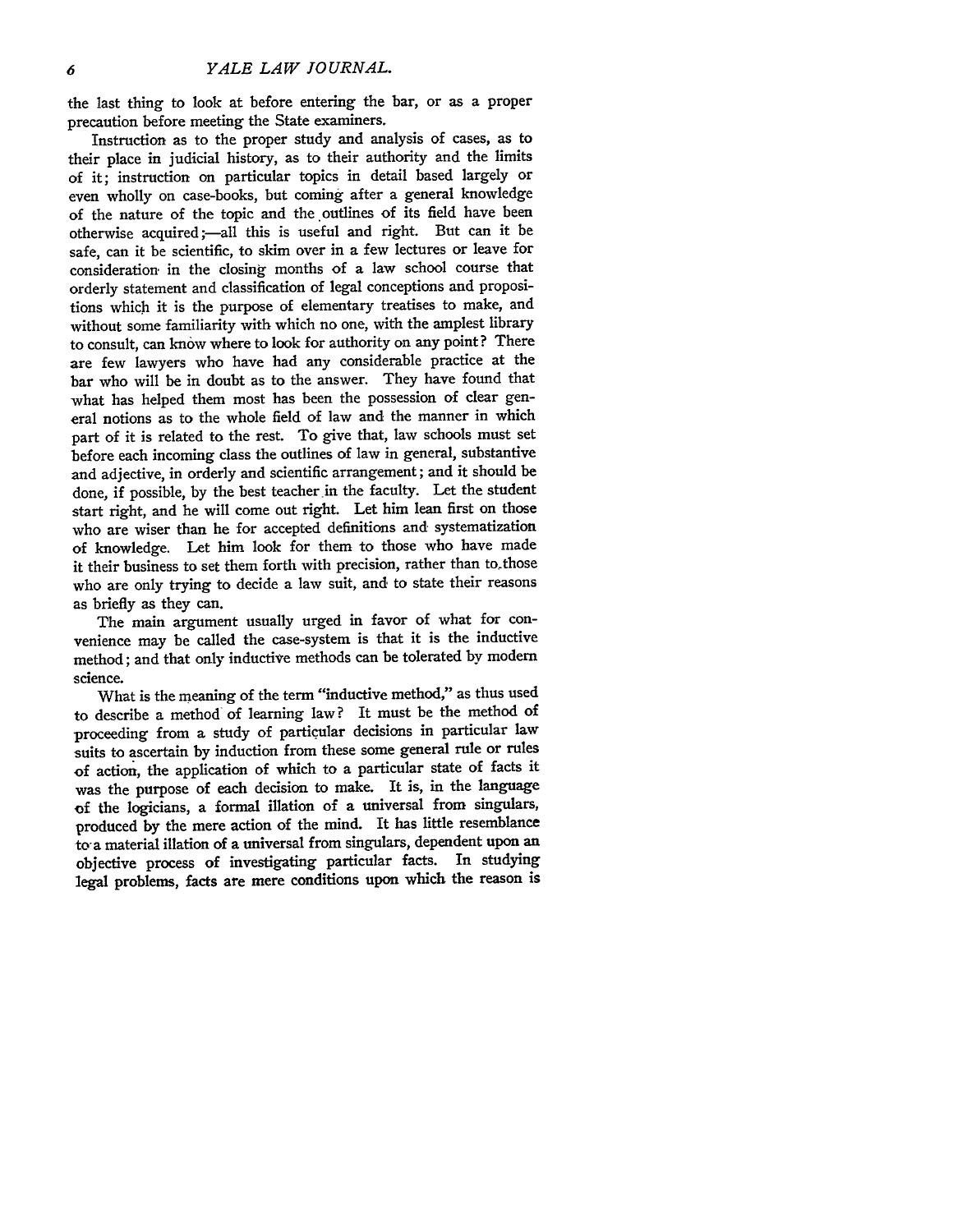the last thing to look at before entering the bar, or as a proper precaution before meeting the State examiners.

Instruction as to the proper study and analysis of cases, as to their place in judicial history, as to their authority and the limits of it; instruction on particular topics in detail based largely or even wholly on case-books, but coming after a general knowledge of the nature of the topic and the outlines of its field have been otherwise acquired ;- all this is useful and right. But can it be safe, can it be scientific, to skim over in a few lectures or leave for consideration in the closing months of a law school course that orderly statement and classification of legal conceptions and propositions which it is the purpose of elementary treatises to make, and without some familiarity with which no one, with the amplest library to consult, can know where to look for authority on any point? There are few lawyers who have had any considerable practice at the bar who will be in doubt as to the answer. They have found that what has helped them most has been the possession of clear general notions as to the whole field of law and the manner in which part of it is related to the rest. To give that, law schools must set before each incoming class the outlines of law in general, substantive and adjective, in orderly and scientific arrangement; and it should be done, if possible, by the best teacher in the faculty. Let the student start right, and he will come out right. Let him lean first on those who are wiser than he for accepted definitions and systematization of knowledge. Let him look for them to those who have made it their business to set them forth with precision, rather than to those who are only trying to decide a law suit, and to state their reasons as briefly as they can.

The main argument usually urged in favor of what for convenience may be called the case-system is that it is the inductive method; and that only inductive methods can be tolerated by modem science.

What is the meaning of the term "inductive method," as thus used to describe a method of learning law? It must be the method of proceeding from a study of particular decisions in particular law suits to ascertain **by** induction from these some general rule or rules **of** action, the application of which to a particular state of facts it was the purpose of each decision to make. It is, in the language of the logicians, a formal illation of a universal from singulars, produced **by** the mere action of the mind. It has little resemblance to-a material illation of a universal from singulars, dependent upon an objective process of investigating particular facts. In studying legal problems, facts are mere conditions upon which the reason is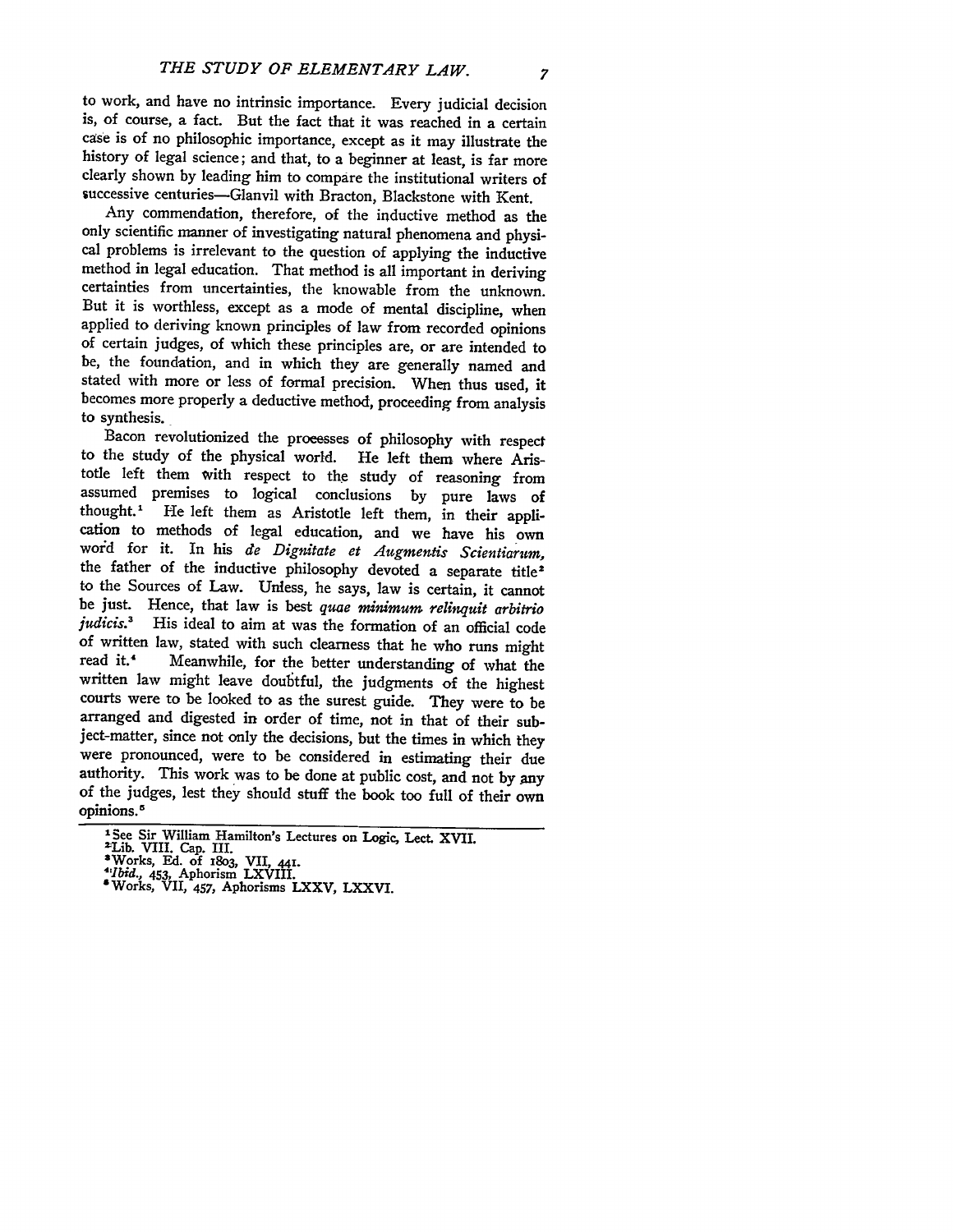to work, and have no intrinsic importance. Every judicial decision is, of course, a fact. But the fact that it was reached in a certain case is of no philosophic importance, except as it may illustrate the history of legal science; and that, to a beginner at least, is far more clearly shown **by** leading him to compare the institutional writers of successive centuries-Glanvil with Bracton, Blackstone with Kent.

Any commendation, therefore, of the inductive method as the only scientific manner of investigating natural phenomena and physi- cal problems is irrelevant to the question of applying the inductive method in legal education. That method is all important in deriving certainties from uncertainties, the knowable from the unknown. But it is worthless, except as a mode of mental discipline, when applied to deriving known principles of law from recorded opinions of certain judges, of which these principles are, or are intended to be, the foundation, and in which they are generally named and stated with more or less of formal precision. When thus used, it becomes more properly a deductive method, proceeding from analysis to synthesis.

Bacon revolutionized the processes of philosophy with respect to the study of the physical world. He left them where Aristotle left them with respect to the study of reasoning from assumed premises to logical conclusions **by** pure laws of cation to methods of legal education, and we have his own woid for it. In his *de Dignitate et Augmentis Scientiarum,* the father of the inductive philosophy devoted a separate title' to the Sources of Law. Unless, he says, law is certain, it cannot be just. Hence, that law is best *quae minimum relinquit arbitrio* His ideal to aim at was the formation of an official code of written law, stated with such clearness that he who runs might read it.4 Meanwhile, for the better understanding of what the written law might leave doubtful, the judgments of the highest courts were to be looked to as the surest guide. They were to be arranged and digested in order of time, not in that of their subject-matter, since not only the decisions, but the times in which they were pronounced, were to be considered in estimating their due authority. This work was to be done at public cost, and not **by any** of the judges, lest they should stuff the book too full of their own opinions.<sup>5</sup>

<sup>&#</sup>x27;See Sir William Hamilton's Lectures on Logic, Lect. XVII.

<sup>-</sup>Lib. VIII. Cap. III.

<sup>3</sup>Works, *<sup>4</sup>* **Ed.** of **1803,** VII, 44. *ibid.,* 453, Aphorism LXVIII. &Works, VII, 457, Aphorisms LXXV, LXXVI.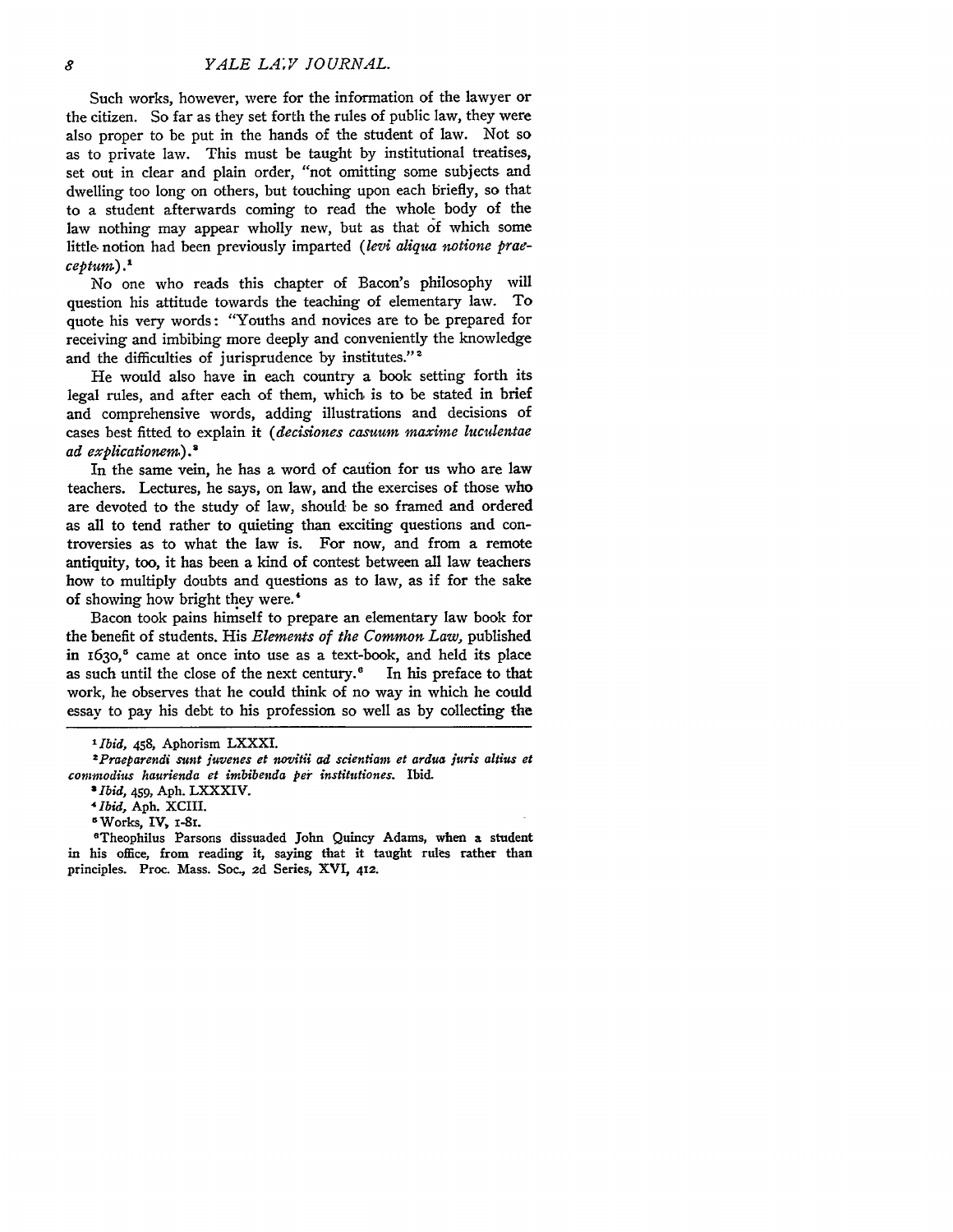Such works, however, were for the information of the lawyer or the citizen. So far as they set forth the rules of public law, they were also proper to be put in the hands of the student of law. Not so as to private law. This must be taught by institutional treatises, set out in clear and plain order, "not omitting some subjects and dwelling too long on others, but touching upon each briefly, so that to a student afterwards coming to read the whole body of the law nothing may appear wholly new, but as that of which some little, notion had been previously imparted *(levi aliqua notione praeceptum).*

No one who reads this chapter of Bacon's philosophy will question his attitude towards the teaching of elementary law. To quote his very words: "Youths and novices are to be prepared for receiving and imbibing more deeply and conveniently the knowledge and the difficulties of jurisprudence by institutes."<sup>2</sup>

He would also have in each country a book setting forth its legal rules, and after each of them, which is to be stated in brief and comprehensive words, adding illustrations and decisions of cases best fitted to explain it *(decisiones casuum maxime luciden-tae ad explicationem).3*

In the same vein, he has a word of caution for us who are law teachers. Lectures, he says, on law, and the exercises of those who are devoted to the study of law, should be so framed and ordered as all to tend rather to quieting than exciting questions and controversies as to what the law is. For now, and from a remote antiquity, too, it has been a kind of contest between all law teachers how to multiply doubts and questions as to law, as if for the sake of showing how bright they were.'

Bacon took pains himself to prepare an elementary law book for the benefit of students. His *Elements of the Common Law,* published in  $1630$ ,<sup> $s$ </sup> came at once into use as a text-book, and held its place as such until the close of the next century. $^6$  In his preface to that work, he observes that he could think of no way in which he could essay to pay his debt to his profession so well as **by** collecting the

8 Theophilus Parsons dissuaded John Quincy Adams, when a student in his office, from reading it, saying that it taught rules rather than principles. Proc. Mass. **Soc., 2d** Series, XVI, **412.**

*<sup>&#</sup>x27;Ibid,* 458, Aphorism LXXXI.

*<sup>2</sup>Praeparendi sunt juvenes et novitii ad scientiant et ardua juris altius et conmnodius haurienda et imbibenda per institutiones.* Ibid.

*<sup>2</sup>Ibid,* 459, **Aph.** LXXXIV. *<sup>4</sup>*

*Ibid,* **Aph.** XCIII.

<sup>5</sup> Works, IV, I-81.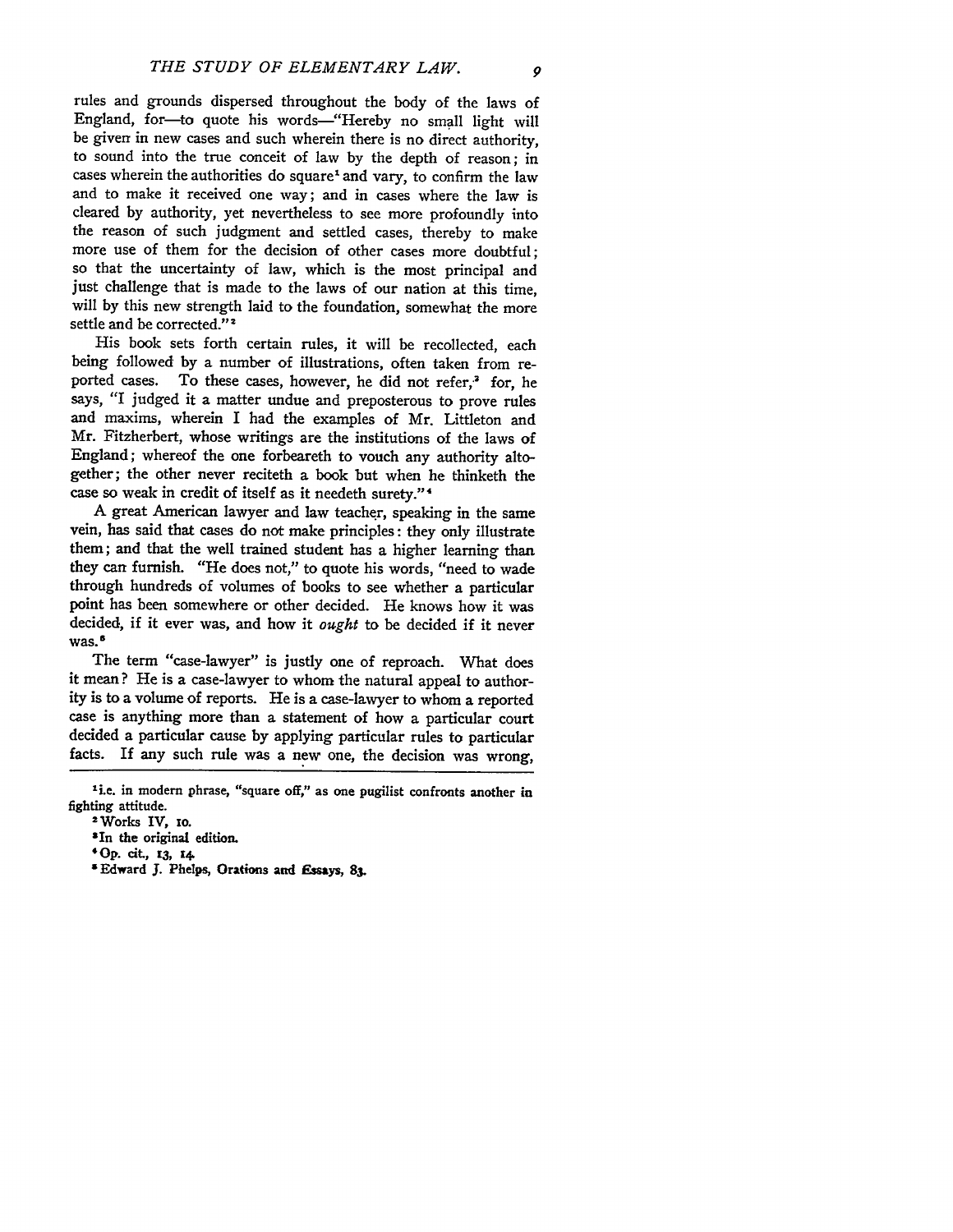rules and grounds dispersed throughout the body of the laws of England, for-to quote his words-"Hereby no small light will be given in new cases and such wherein there is no direct authority, to sound into the true conceit of law by the depth of reason; in cases wherein the authorities do square' and vary, to confirm the law and to make it received one way; and in cases where the law is cleared by authority, yet nevertheless to see more profoundly into the reason of such judgment and settled cases, thereby to make more use of them for the decision of other cases more doubtful; so that the uncertainty of law, which is the most principal and just challenge that is made to the laws of our nation at this time. will by this new strength laid to the foundation, somewhat the more settle and be corrected."<sup>2</sup>

His book sets forth certain rules, it will be recollected, each being followed by a number of illustrations, often taken from reported cases. To these cases, however, he did not refer.<sup>3</sup> for, he says, "I judged it a matter undue and preposterous to prove rules and maxims, wherein I had the examples of Mr. Littleton and Mr. Fitzherbert, whose writings are the institutions of the laws of England; whereof the one forbeareth to vouch any authority altogether; the other never reciteth a book but when he thinketh the case so weak in credit of itself as it needeth surety."<sup>4</sup>

A great American lawyer and law teacher, speaking in the same vein, has said that cases do not make principles: they only illustrate them; and that the well trained student has a higher learning than they can furnish. "He does not," to quote his words, "need to wade through hundreds of volumes of books to see whether a particular point has been somewhere or other decided. He knows how it was decided, if it ever was, and how it ought to be decided if it never was.<sup>6</sup>

The term "case-lawyer" is justly one of reproach. What does it mean? He is a case-lawyer to whom the natural appeal to authority is to a volume of reports. He is a case-lawyer to whom a reported case is anything more than a statement of how a particular court decided a particular cause **by** applying particular rules to particular facts. If any such rule was a new one, the decision was wrong,

**<sup>&#</sup>x27;i.e.** in modem phrase, "square off," as one pugilist confronts another in fighting attitude.

<sup>2</sup>Works IV, **io.**

<sup>&</sup>lt;sup>\*</sup>In the original edition.

<sup>&#</sup>x27;Op. cit., **[3,** [4.

**<sup>&#</sup>x27;** Edward **J.** Phelps, Orations **and Emays, 83.**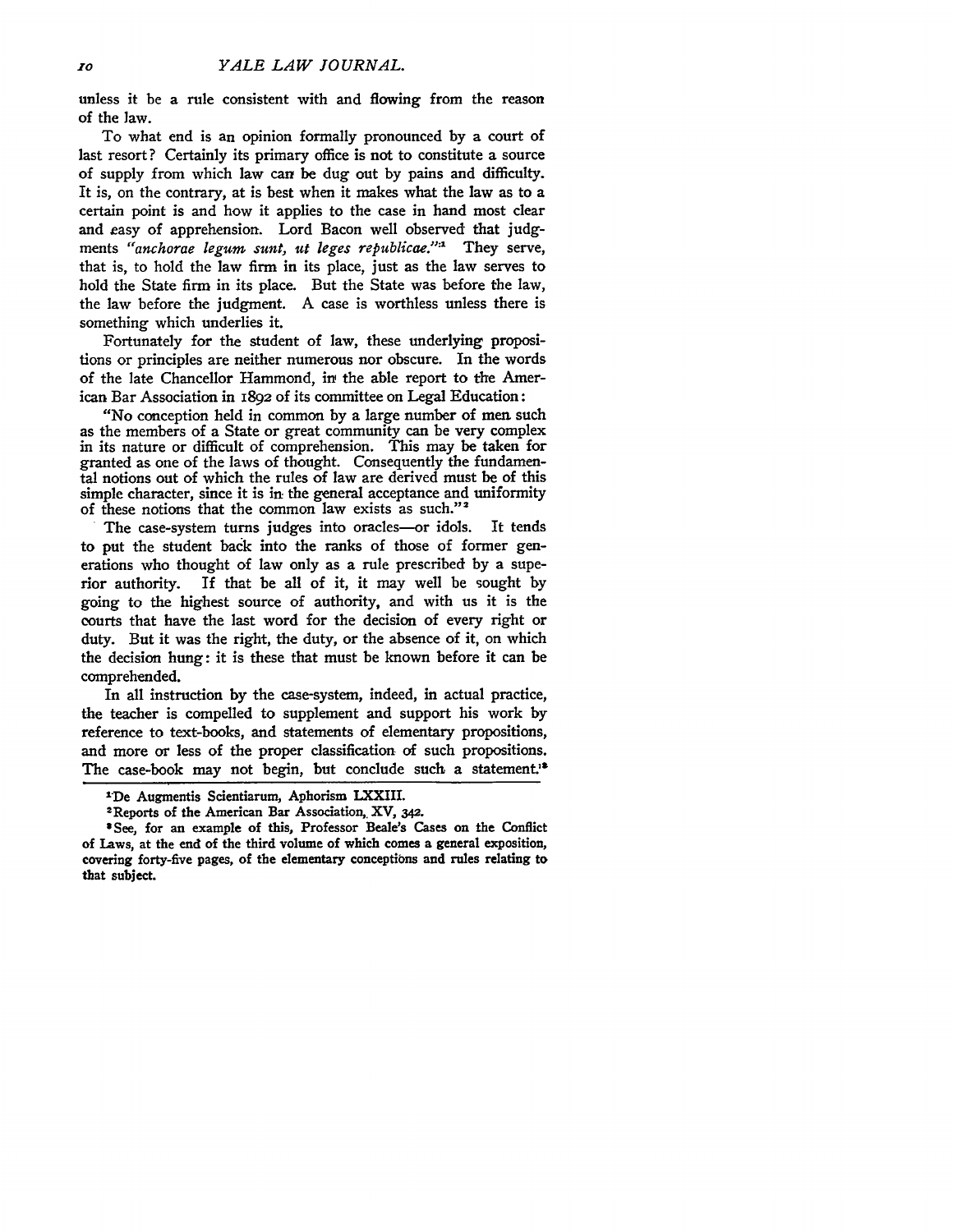unless it be a rule consistent with and flowing from the reason of the Jaw.

To what end is an opinion formally pronounced by a court of last resort? Certainly its primary office is not to constitute a source of supply from which law can **be** dug out by pains and difficulty. It is, on the contrary, at is best when it makes what the law as to a certain point is and how it applies to the case in hand most clear and easy of apprehension. Lord Bacon well observed that judgments "anchorae legum sunt, ut leges republicae."<sup>1</sup> They serve, that is, to hold the law firm in its place, just as the law serves to hold the State firm in its place. But the State was before the law, the law before the judgment. A case is worthless unless there is something which underlies it.

Fortunately for the student of law, these underlying propositions or principles are neither numerous nor obscure. In the words of the late Chancellor Hammond, in the able report to the American Bar Association in **1892** of its committee on Legal Education:

"No conception held in common by a large number of men such as the members of a State or great community can be very complex in its nature or difficult of comprehension. This may be taken for granted as one of the laws of thought. Consequently the fundamental notions out of which the rules of law are derived must be of this simple character, since it is in the general acceptance and uniformity of these notions that the common law exists as such."<sup>2</sup>

The case-system turns judges into oracles—or idols. It tends to put the student back into the ranks of those of former generations who thought of law only as a rule prescribed by a superior authority. **If** that be all of it, it may well be sought by going to the highest source of authority, and with us it is the courts that have the last word for the decision of every right or duty. But it was the right, the duty, or the absence of it, on which the decision hung: it is these that must be known before it can be comprehended.

In all instruction by the case-system, indeed, in actual practice, the teacher is compelled to supplement and support his work by reference to text-books, and statements of elementary propositions, and more or less of the proper classification of such propositions. The case-book may not begin, but conclude such a statement.<sup>18</sup>

**<sup>1</sup>De** Augmentis Scientiarum, Aphorism LXXIIL 2Reports of the American Bar Association,. XV, **342.**

**<sup>\*</sup>See,** for an example of this, Professor Beale's Cases on the Conflict of laws, at the end of the third volume of which comes a general exposition, covering forty-five pages, of the elementary conceptibns and rules relating to that subject.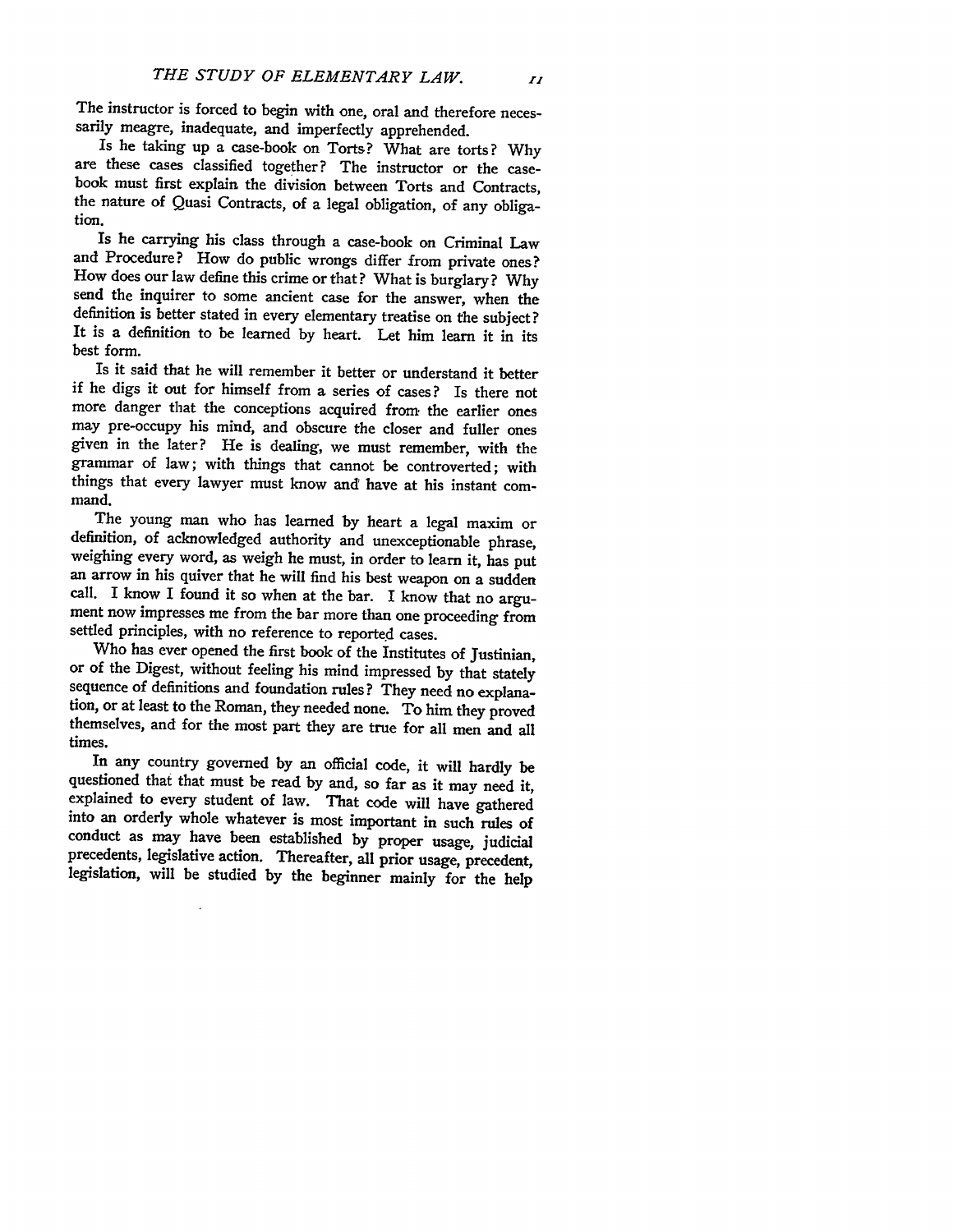The instructor is forced to begin with one, oral and therefore necessarily meagre, inadequate, and imperfectly apprehended.

Is he taking up a case-book on Torts? What are torts? Why are these cases classified together? The instructor or the casebook must first explain the division between Torts and Contracts, the nature of Quasi Contracts, of a legal obligation, of any obligation.

Is he carrying his class through a case-book on Criminal Law and Procedure? How do public wrongs differ from private ones?<br>How does our law define this crime or that? What is burglary? Why send the inquirer to some ancient case for the answer, when the definition is better stated in every elementary treatise on the subject? It is a definition to be learned by heart. Let him learn it in its best form.

Is it said that he will remember it better or understand it better if he digs it out for himself from a series of cases? Is there not more danger that the conceptions acquired from the earlier ones may pre-occupy his mind, and obscure the closer and fuller ones given in the later? He is dealing, we must remember, with the grammar of law; with things that cannot be controverted; with things that every lawyer must know and have at his instant command.

The young man who has learned **by** heart a legal maxim or definition, of acknowledged authority and unexceptionable phrase, weighing every word, as weigh he must, in order to learn it, has put an arrow in his quiver that he will find his best weapon on a sudden call. I know I found it so when at the bar. I know that no argument now impresses me from the bar more than one proceeding from settled principles, with no reference to reported cases.

Who has ever opened the first book of the Institutes of Justinian, or of the Digest, without feeling his mind impressed **by** that stately tion, or at least to the Roman, they needed none. To him they proved themselves, and for the most part they are true for all men and all times.

In any country governed **by** an official code, it will hardly be questioned that that must be read **by** and, so far as it may need it, explained to every student of law. That code will have gathered into an orderly whole whatever is most important in such rules of conduct as may have been established **by** proper usage, judicial precedents, legislative action. Thereafter, all prior usage, precedent, legislation, will be studied **by** the beginner mainly for the help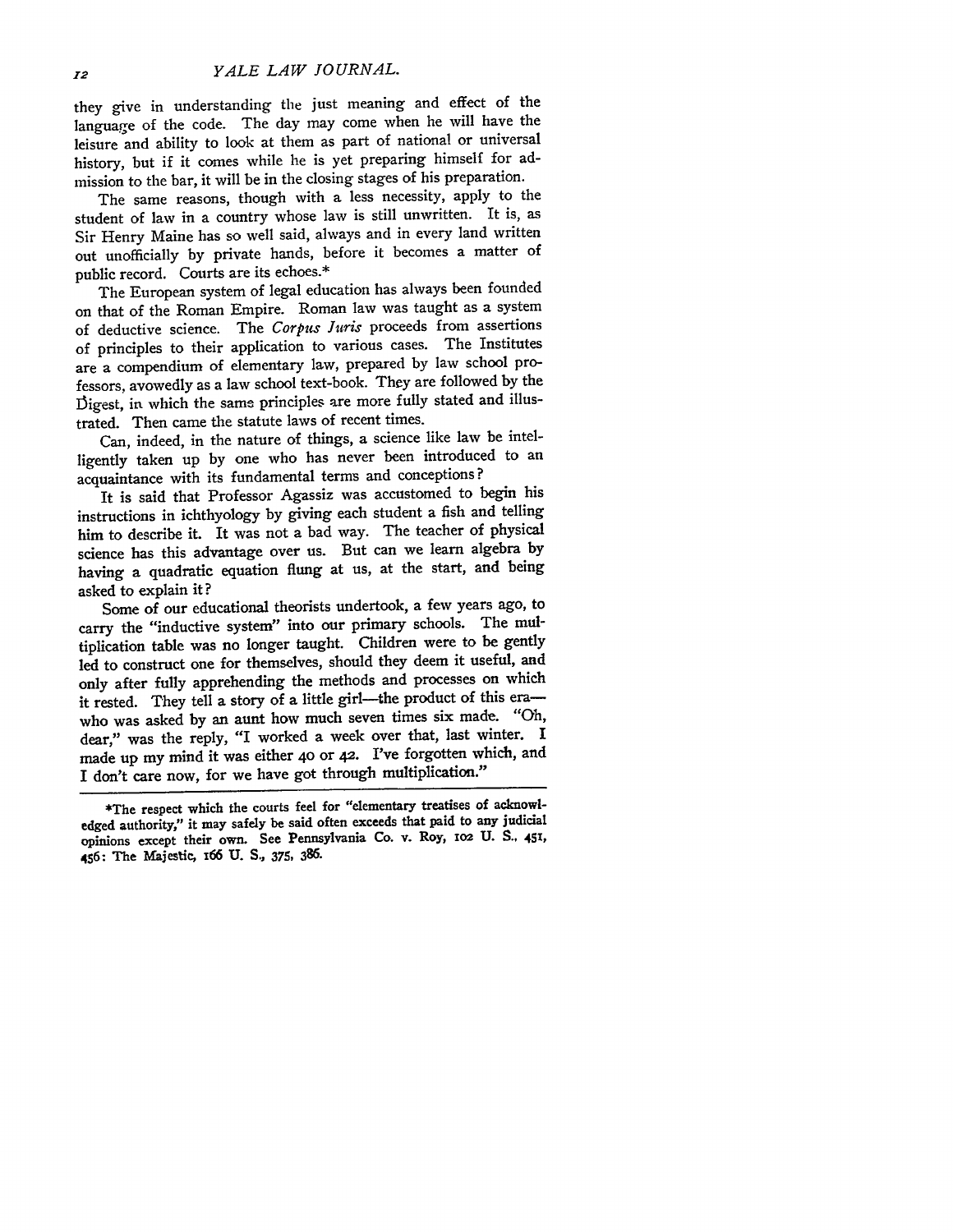they give in understanding the just meaning and effect of the language of the code. The day may come when he will have the leisure and ability to look at them as part of national or universal history, but if it comes while he is yet preparing himself for admission to the bar, it will be in the closing stages of his preparation.

The same reasons, though with a less necessity, apply to the student of law in a country whose law is still unwritten. It is, as Sir Henry Maine has so well said, always and in every land written out unofficially by private hands, before it becomes a matter of public record. Courts are its echoes.\*

The European system of legal education has always been founded on that of the Roman Empire. Roman law was taught as a system of deductive science. The *Corpus Juris* proceeds from assertions of principles to their application to various cases. The Institutes are a compendium of elementary law, prepared by law school professors, avowedly as a law school text-book. They are followed by the Digest, in which the same principles are more fully stated and illustrated. Then came the statute laws of recent times.

Can, indeed, in the nature of things, a science like law be intelligently taken up by one who has never been introduced to an acquaintance with its fundamental terms and conceptions?

It is said that Professor Agassiz was accustomed to begin his instructions in ichthyology by giving each student a fish and telling him to describe it. It was not a bad way. The teacher of physical science has this advantage over us. But can we learn algebra by having a quadratic equation flung at us, at the start, and being asked to explain it?

Some of our educational theorists undertook, a few years ago, to carry the "inductive system" into our primary schools. The multiplication table was no longer taught. Children were to be gently led to construct one for themselves, should they deem it useful, and only after fully apprehending the methods and processes on which it rested. They tell a story of a little girl-the product of this erawho was asked by an aunt how much seven times six made. "Oh, dear," was the reply, "I worked a week over that, last winter. I made up my mind it was either 40 or 42. I've forgotten which, and I don't care now, for we have got through multiplication."

<sup>\*</sup>The respect which the courts feel for "elementary treatises of acknowledged authority," **it** may safely be said often exceeds that paid to any judicial opinions except their own. See Pennsylvania Co. v. Roy, **1O2 U. S., 451, 456:** The Majestic, **x66 U. S., 375,** 386.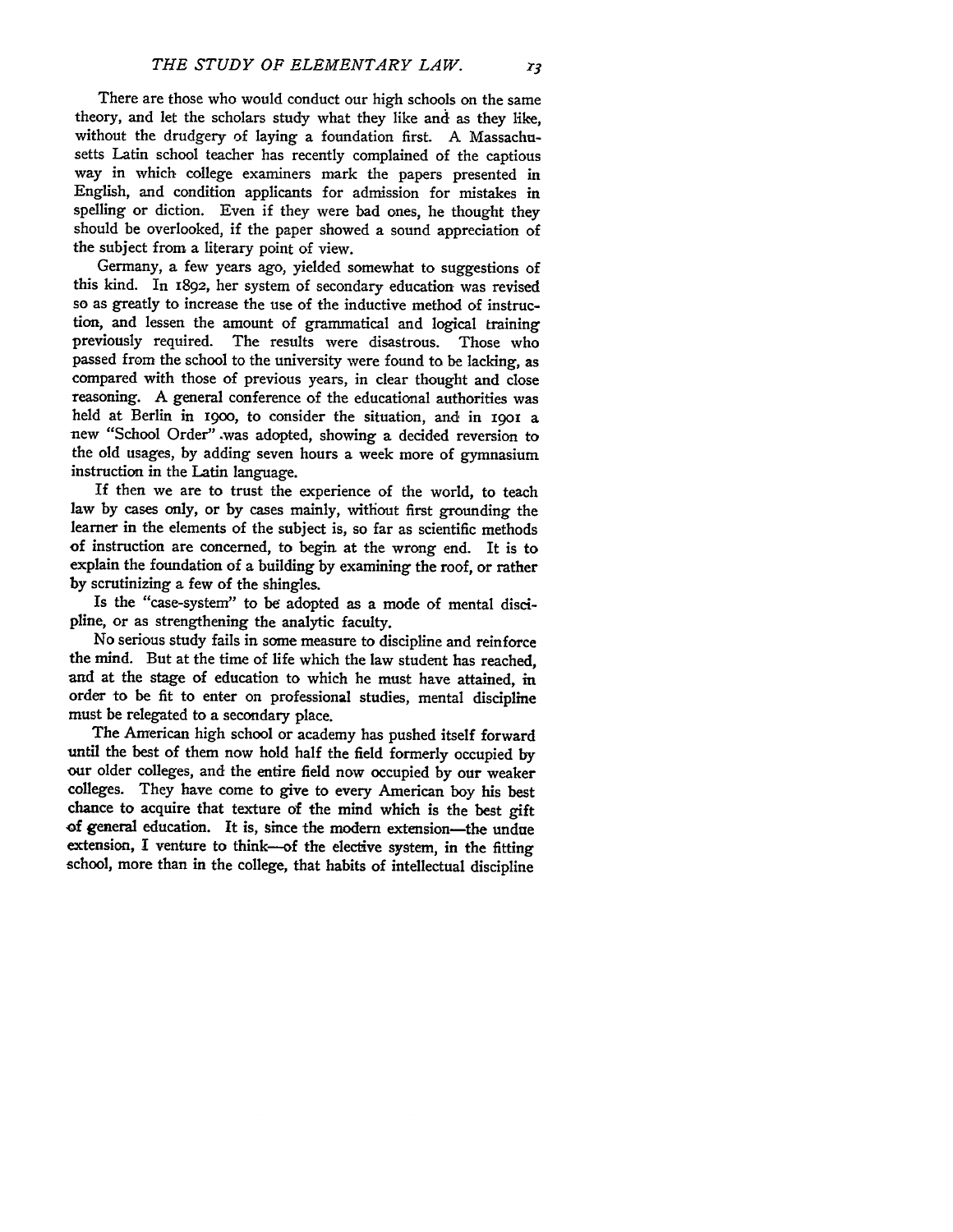There are those who would conduct our high schools on the same theory, and let the scholars study what they like and as they like, without the drudgery of laying a foundation first. A Massachusetts Latin school teacher has recently complained of the captious way in which college examiners mark the papers presented in English, and condition applicants for admission for mistakes in spelling or diction. Even if they were bad ones, he thought they should be overlooked, if the paper showed a sound appreciation of the subject from a literary point of view.

Germany, a few years ago, yielded somewhat to suggestions of this kind. In 1892, her system of secondary education was revised so as greatly to increase the use of the inductive method of instruction, and lessen the amount of grammatical and logical training previously required. The results were disastrous. Those who passed from the school to the university were found to be lacking, as compared with those of previous years, in clear thought and close reasoning. A general conference of the educational authorities was held at Berlin in I9oo, to consider the situation, and in **19oi** a new "School Order" .was adopted, showing a decided reversion to the old usages, by adding seven hours a week more of gymnasium instruction in the Latin language.

If then we are to trust the experience of the world, to teach law by cases only, or by cases mainly, without first grounding the learner in the elements of the subject is, so far as scientific methods of instruction are concerned, to begin at the wrong end. It is to explain the foundation of a building by examining the roof, or rather by scrutinizing a few of the shingles.

Is the "case-system" to be adopted as a mode of mental discipline, or as strengthening the analytic faculty.

No serious study fails in some measure to discipline and reinforce the mind. But at the time of life which the law student has reached, and at the stage of education to which he must have attained, in order to be fit to enter on professional studies, mental discipline must be relegated to a secondary place.

The American high school or academy has pushed itself forward until the best of them now hold half the field formerly occupied **by** our older colleges, and the entire field now occupied by our weaker colleges. They have come to give to every American boy his best chance to acquire that texture of the mind which is the best gift of general education. It is, since the modern extension-the undue extension, **I** venture to think--of the elective system, in the fitting school, more than in the college, that habits of intellectual discipline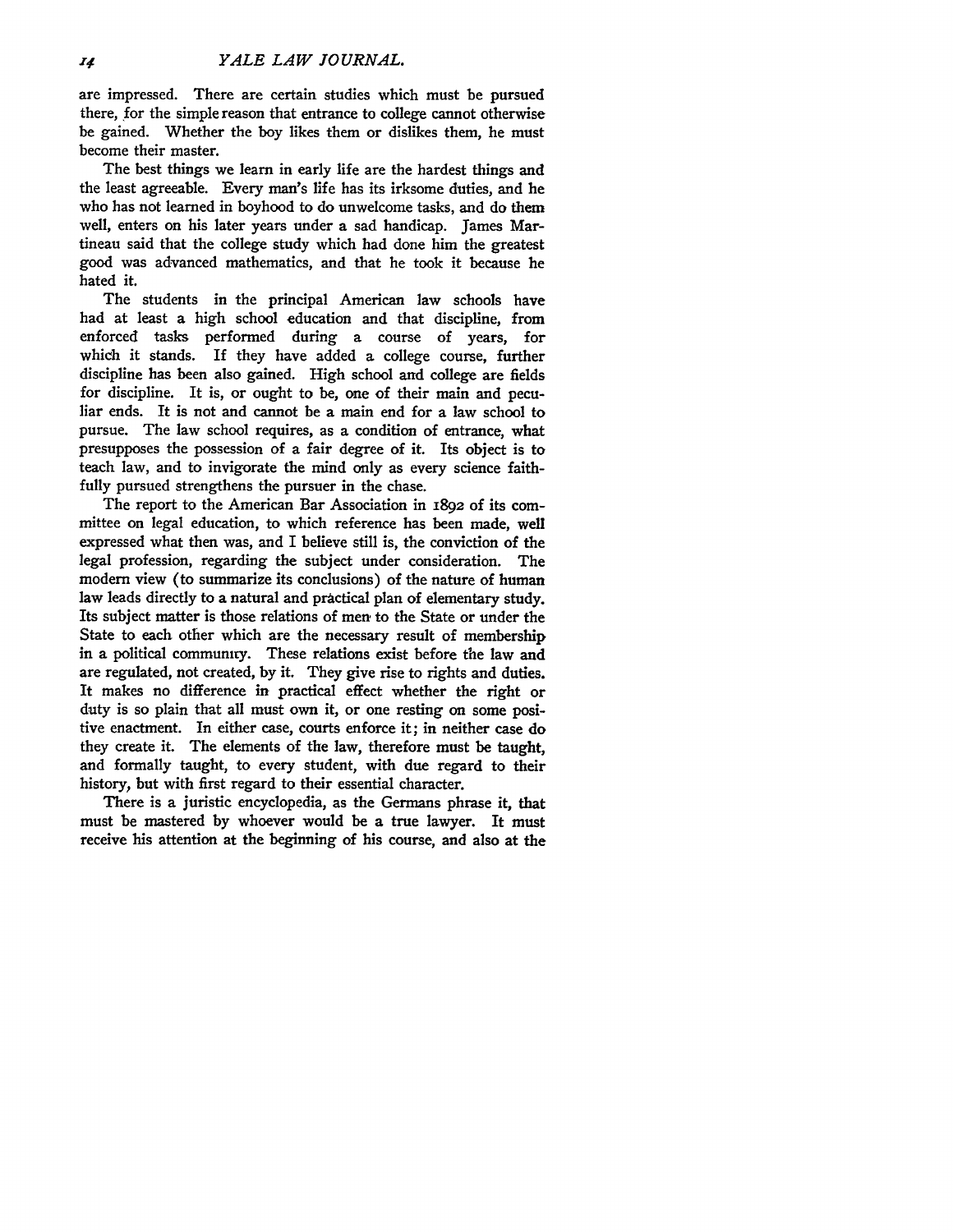are impressed. There are certain studies which must be pursued there, for the simple reason that entrance to college cannot otherwise be gained. Whether the boy likes them or dislikes them, he must become their master.

The best things we learn in early life are the hardest things and the least agreeable. Every man's life has its irksome duties, and he who has not learned in boyhood to do unwelcome tasks, and do them well, enters on his later years under a sad handicap. James Martineau said that the college study which had done him the greatest good was advanced mathematics, and that he took it because he hated it.

The students in the principal American law schools have had at least a high school education and that discipline, from enforced tasks performed during a course of years, for which it stands. If they have added a college course, further discipline has been also gained. High school and college are fields for discipline. It is, or ought to be, one of their main and peculiar ends. It is not and cannot be a main end for a law school to pursue. The law school requires, as a condition of entrance, what presupposes the possession of a fair degree of it. Its object is to teach law, and to invigorate the mind only as every science faithfully pursued strengthens the pursuer in the chase.

The report to the American Bar Association in 1892 of its committee on legal education, to which reference has been made, well expressed what then was, and I believe still is, the conviction of the legal profession, regarding the subject under consideration. The modem view (to summarize its conclusions) of the nature of human law leads directly to a natural and practical plan of elementary study. Its subject matter is those relations of men to the State or under the State to each other which are the necessary result of membership in a political communiry. These relations exist before the law and are regulated, not created, by it. They give rise to rights and duties. It makes no difference in practical effect whether the right or duty is so plain that all must own it, or one resting on some positive enactment. In either case, courts enforce it; in neither case do they create it. The elements of the law, therefore must be taught, and formally taught, to every student, with due regard to their history, but with first regard to their essential character.

There is a juristic encyclopedia, as the Germans phrase it, that must be mastered by whoever would be a true lawyer. It must receive his attention at the beginning of his course, and also at the